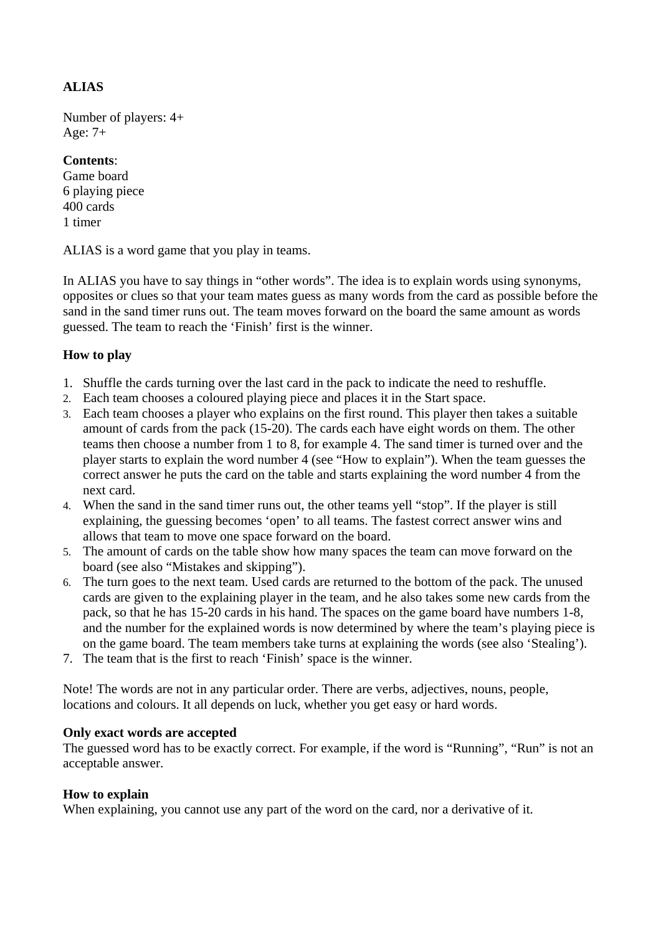# **ALIAS**

Number of players: 4+ Age: 7+

## **Contents**:

Game board 6 playing piece 400 cards 1 timer

ALIAS is a word game that you play in teams.

In ALIAS you have to say things in "other words". The idea is to explain words using synonyms, opposites or clues so that your team mates guess as many words from the card as possible before the sand in the sand timer runs out. The team moves forward on the board the same amount as words guessed. The team to reach the 'Finish' first is the winner.

# **How to play**

- 1. Shuffle the cards turning over the last card in the pack to indicate the need to reshuffle.
- 2. Each team chooses a coloured playing piece and places it in the Start space.
- 3. Each team chooses a player who explains on the first round. This player then takes a suitable amount of cards from the pack (15-20). The cards each have eight words on them. The other teams then choose a number from 1 to 8, for example 4. The sand timer is turned over and the player starts to explain the word number 4 (see "How to explain"). When the team guesses the correct answer he puts the card on the table and starts explaining the word number 4 from the next card.
- 4. When the sand in the sand timer runs out, the other teams yell "stop". If the player is still explaining, the guessing becomes 'open' to all teams. The fastest correct answer wins and allows that team to move one space forward on the board.
- 5. The amount of cards on the table show how many spaces the team can move forward on the board (see also "Mistakes and skipping").
- 6. The turn goes to the next team. Used cards are returned to the bottom of the pack. The unused cards are given to the explaining player in the team, and he also takes some new cards from the pack, so that he has 15-20 cards in his hand. The spaces on the game board have numbers 1-8, and the number for the explained words is now determined by where the team's playing piece is on the game board. The team members take turns at explaining the words (see also 'Stealing').
- 7. The team that is the first to reach 'Finish' space is the winner.

Note! The words are not in any particular order. There are verbs, adjectives, nouns, people, locations and colours. It all depends on luck, whether you get easy or hard words.

## **Only exact words are accepted**

The guessed word has to be exactly correct. For example, if the word is "Running", "Run" is not an acceptable answer.

## **How to explain**

When explaining, you cannot use any part of the word on the card, nor a derivative of it.